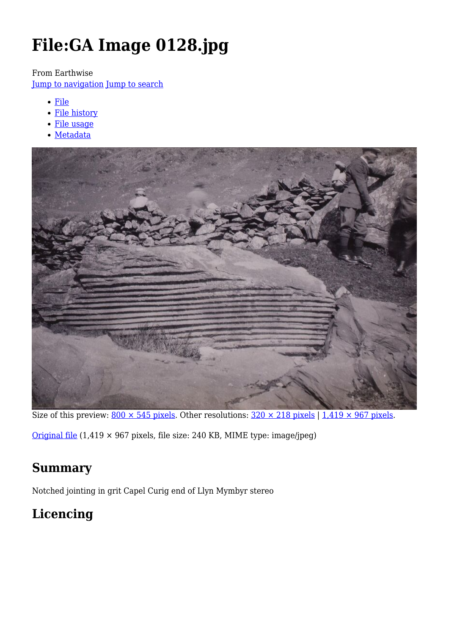# **File:GA Image 0128.jpg**

From Earthwise

[Jump to navigation](#page--1-0) [Jump to search](#page--1-0)

- [File](#page--1-0)
- [File history](#page--1-0)
- [File usage](#page--1-0)
- [Metadata](#page--1-0)



Size of this preview:  $800 \times 545$  pixels. Other resolutions:  $320 \times 218$  pixels |  $1,419 \times 967$  pixels.

[Original file](http://earthwise.bgs.ac.uk/images/0/01/GA_Image_0128.jpg) (1,419 × 967 pixels, file size: 240 KB, MIME type: image/jpeg)

# **Summary**

Notched jointing in grit Capel Curig end of Llyn Mymbyr stereo

# **Licencing**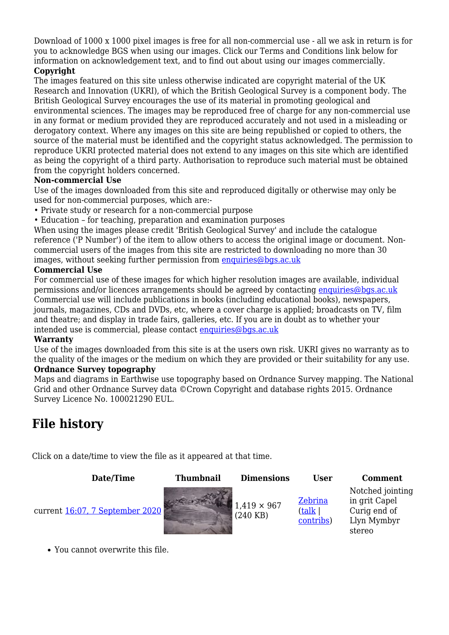Download of 1000 x 1000 pixel images is free for all non-commercial use - all we ask in return is for you to acknowledge BGS when using our images. Click our Terms and Conditions link below for information on acknowledgement text, and to find out about using our images commercially.

#### **Copyright**

The images featured on this site unless otherwise indicated are copyright material of the UK Research and Innovation (UKRI), of which the British Geological Survey is a component body. The British Geological Survey encourages the use of its material in promoting geological and environmental sciences. The images may be reproduced free of charge for any non-commercial use in any format or medium provided they are reproduced accurately and not used in a misleading or derogatory context. Where any images on this site are being republished or copied to others, the source of the material must be identified and the copyright status acknowledged. The permission to reproduce UKRI protected material does not extend to any images on this site which are identified as being the copyright of a third party. Authorisation to reproduce such material must be obtained from the copyright holders concerned.

#### **Non-commercial Use**

Use of the images downloaded from this site and reproduced digitally or otherwise may only be used for non-commercial purposes, which are:-

- Private study or research for a non-commercial purpose
- Education for teaching, preparation and examination purposes

When using the images please credit 'British Geological Survey' and include the catalogue reference ('P Number') of the item to allow others to access the original image or document. Noncommercial users of the images from this site are restricted to downloading no more than 30 images, without seeking further permission from [enquiries@bgs.ac.uk](mailto:enquiries@bgs.ac.uk)

#### **Commercial Use**

For commercial use of these images for which higher resolution images are available, individual permissions and/or licences arrangements should be agreed by contacting [enquiries@bgs.ac.uk](mailto:enquiries@bgs.ac.uk) Commercial use will include publications in books (including educational books), newspapers, journals, magazines, CDs and DVDs, etc, where a cover charge is applied; broadcasts on TV, film and theatre; and display in trade fairs, galleries, etc. If you are in doubt as to whether your intended use is commercial, please contact [enquiries@bgs.ac.uk](mailto:enquiries@bgs.ac.uk)

#### **Warranty**

Use of the images downloaded from this site is at the users own risk. UKRI gives no warranty as to the quality of the images or the medium on which they are provided or their suitability for any use.

#### **Ordnance Survey topography**

Maps and diagrams in Earthwise use topography based on Ordnance Survey mapping. The National Grid and other Ordnance Survey data ©Crown Copyright and database rights 2015. Ordnance Survey Licence No. 100021290 EUL.

# **File history**

Click on a date/time to view the file as it appeared at that time.

| Date/Time                       | <b>Thumbnail</b> | <b>Dimensions</b>              | User                                          | <b>Comment</b>                                                             |
|---------------------------------|------------------|--------------------------------|-----------------------------------------------|----------------------------------------------------------------------------|
| current 16:07, 7 September 2020 |                  | $1,419 \times 967$<br>(240 KB) | Zebrina<br>$(\mathrm{talk} \mid$<br>contribs) | Notched jointing<br>in grit Capel<br>Curig end of<br>Llyn Mymbyr<br>stereo |

You cannot overwrite this file.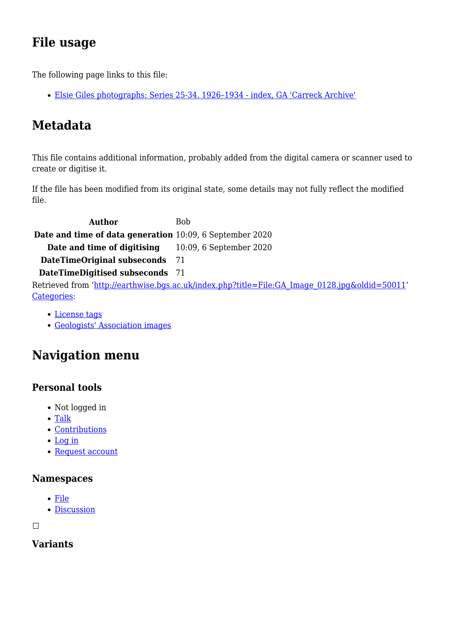# **File usage**

The following page links to this file:

[Elsie Giles photographs: Series 25-34. 1926–1934 - index, GA 'Carreck Archive'](http://earthwise.bgs.ac.uk/index.php/Elsie_Giles_photographs:_Series_25-34._1926%E2%80%931934_-_index,_GA_%27Carreck_Archive%27)

# **Metadata**

This file contains additional information, probably added from the digital camera or scanner used to create or digitise it.

If the file has been modified from its original state, some details may not fully reflect the modified file.

Author Bob **Date and time of data generation** 10:09, 6 September 2020 **Date and time of digitising** 10:09, 6 September 2020 **DateTimeOriginal subseconds** 71 **DateTimeDigitised subseconds** 71 Retrieved from ['http://earthwise.bgs.ac.uk/index.php?title=File:GA\\_Image\\_0128.jpg&oldid=50011](http://earthwise.bgs.ac.uk/index.php?title=File:GA_Image_0128.jpg&oldid=50011)' [Categories:](http://earthwise.bgs.ac.uk/index.php/Special:Categories)

- [License tags](http://earthwise.bgs.ac.uk/index.php/Category:License_tags)
- [Geologists' Association images](http://earthwise.bgs.ac.uk/index.php/Category:Geologists%27_Association_images)

# **Navigation menu**

## **Personal tools**

- Not logged in
- [Talk](http://earthwise.bgs.ac.uk/index.php/Special:MyTalk)
- [Contributions](http://earthwise.bgs.ac.uk/index.php/Special:MyContributions)
- [Log in](http://earthwise.bgs.ac.uk/index.php?title=Special:UserLogin&returnto=File%3AGA+Image+0128.jpg&returntoquery=action%3Dmpdf)
- [Request account](http://earthwise.bgs.ac.uk/index.php/Special:RequestAccount)

#### **Namespaces**

- [File](http://earthwise.bgs.ac.uk/index.php/File:GA_Image_0128.jpg)
- [Discussion](http://earthwise.bgs.ac.uk/index.php?title=File_talk:GA_Image_0128.jpg&action=edit&redlink=1)

 $\Box$ 

### **Variants**